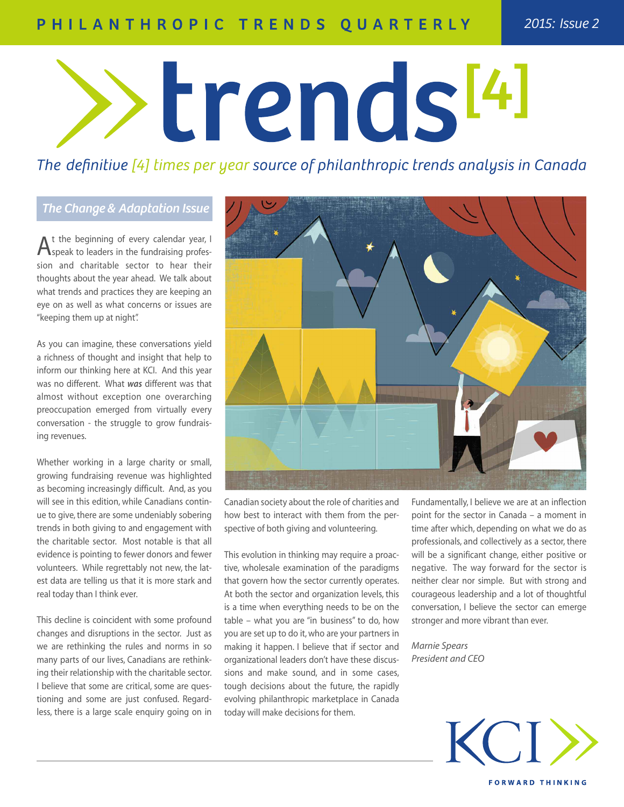# PHILANTHROPIC TRENDS QUARTERLY

# trends<sup>[4]</sup>

The definitive [4] times per year source of philanthropic trends analysis in Canada

# *The Change & Adaptation Issue*

 ${\mathsf A}^\text{t}$  the beginning of every calendar year, I<br>Speak to leaders in the fundraising profession and charitable sector to hear their thoughts about the year ahead. We talk about what trends and practices they are keeping an eye on as well as what concerns or issues are "keeping them up at night".

As you can imagine, these conversations yield a richness of thought and insight that help to inform our thinking here at KCI. And this year was no different. What *was* different was that almost without exception one overarching preoccupation emerged from virtually every conversation - the struggle to grow fundraising revenues.

Whether working in a large charity or small, growing fundraising revenue was highlighted as becoming increasingly difficult. And, as you will see in this edition, while Canadians continue to give, there are some undeniably sobering trends in both giving to and engagement with the charitable sector. Most notable is that all evidence is pointing to fewer donors and fewer volunteers. While regrettably not new, the latest data are telling us that it is more stark and real today than I think ever.

This decline is coincident with some profound changes and disruptions in the sector. Just as we are rethinking the rules and norms in so many parts of our lives, Canadians are rethinking their relationship with the charitable sector. I believe that some are critical, some are questioning and some are just confused. Regardless, there is a large scale enquiry going on in



Canadian society about the role of charities and how best to interact with them from the perspective of both giving and volunteering.

This evolution in thinking may require a proactive, wholesale examination of the paradigms that govern how the sector currently operates. At both the sector and organization levels, this is a time when everything needs to be on the table – what you are "in business" to do, how you are set up to do it, who are your partners in making it happen. I believe that if sector and organizational leaders don't have these discussions and make sound, and in some cases, tough decisions about the future, the rapidly evolving philanthropic marketplace in Canada today will make decisions for them.

Fundamentally, I believe we are at an inflection point for the sector in Canada – a moment in time after which, depending on what we do as professionals, and collectively as a sector, there will be a significant change, either positive or negative. The way forward for the sector is neither clear nor simple. But with strong and courageous leadership and a lot of thoughtful conversation, I believe the sector can emerge stronger and more vibrant than ever.

*Marnie Spears President and CEO*

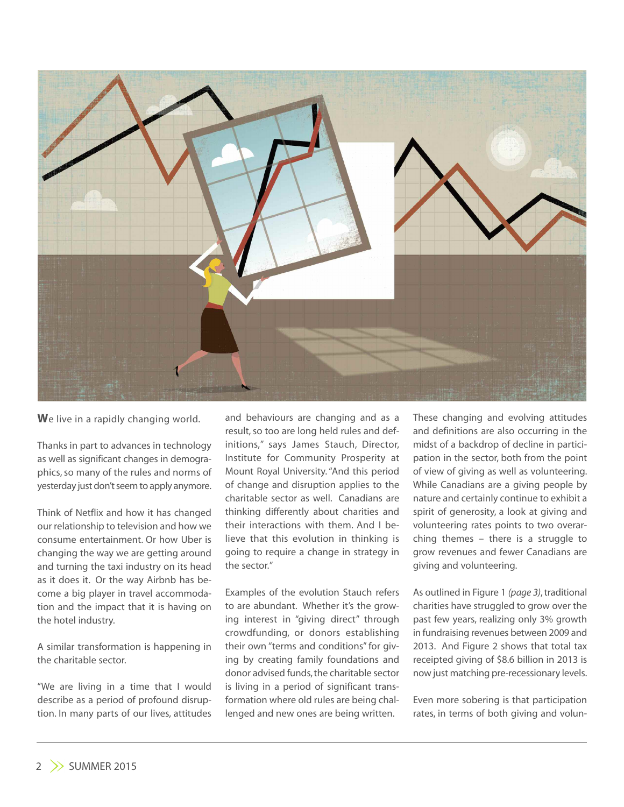

**W**e live in a rapidly changing world.

Thanks in part to advances in technology as well as significant changes in demographics, so many of the rules and norms of yesterday just don't seem to apply anymore.

Think of Netflix and how it has changed our relationship to television and how we consume entertainment. Or how Uber is changing the way we are getting around and turning the taxi industry on its head as it does it. Or the way Airbnb has become a big player in travel accommodation and the impact that it is having on the hotel industry.

A similar transformation is happening in the charitable sector.

"We are living in a time that I would describe as a period of profound disruption. In many parts of our lives, attitudes and behaviours are changing and as a result, so too are long held rules and definitions," says James Stauch, Director, Institute for Community Prosperity at Mount Royal University."And this period of change and disruption applies to the charitable sector as well. Canadians are thinking differently about charities and their interactions with them. And I believe that this evolution in thinking is going to require a change in strategy in the sector."

Examples of the evolution Stauch refers to are abundant. Whether it's the growing interest in "giving direct" through crowdfunding, or donors establishing their own "terms and conditions" for giving by creating family foundations and donor advised funds, the charitable sector is living in a period of significant transformation where old rules are being challenged and new ones are being written.

These changing and evolving attitudes and definitions are also occurring in the midst of a backdrop of decline in participation in the sector, both from the point of view of giving as well as volunteering. While Canadians are a giving people by nature and certainly continue to exhibit a spirit of generosity, a look at giving and volunteering rates points to two overarching themes – there is a struggle to grow revenues and fewer Canadians are giving and volunteering.

As outlined in Figure 1 (page 3), traditional charities have struggled to grow over the past few years, realizing only 3% growth in fundraising revenues between 2009 and 2013. And Figure 2 shows that total tax receipted giving of \$8.6 billion in 2013 is now just matching pre-recessionary levels.

Even more sobering is that participation rates, in terms of both giving and volun-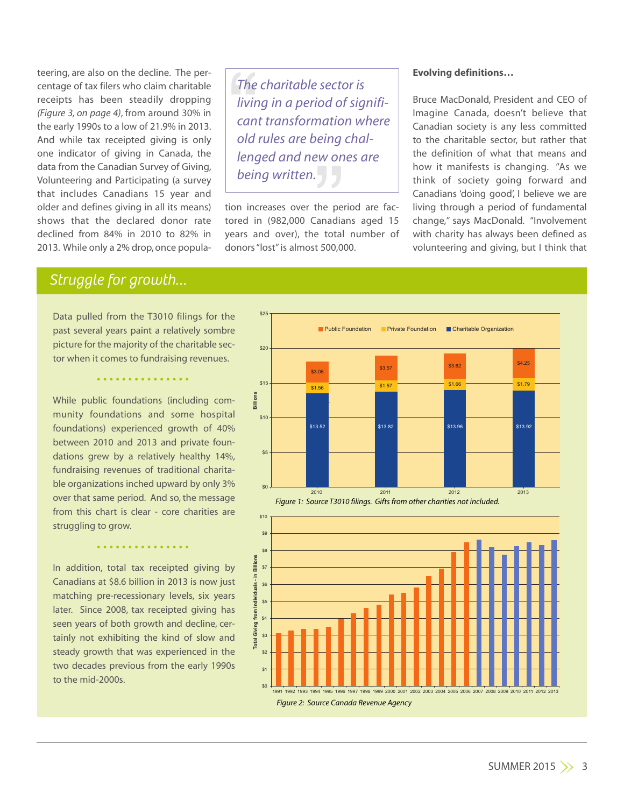teering, are also on the decline. The percentage of tax filers who claim charitable receipts has been steadily dropping *(Figure 3, on page 4)*, from around 30% in the early 1990s to a low of 21.9% in 2013. And while tax receipted giving is only one indicator of giving in Canada, the data from the Canadian Survey of Giving, Volunteering and Participating (a survey that includes Canadians 15 year and older and defines giving in all its means) shows that the declared donor rate declined from 84% in 2010 to 82% in 2013. While only a 2% drop,once populaThe<br>
livir<br>
can<br>
old<br>
leng ratic<br>eing<br>W on<br>J *The charitable sector is living in a period of significant transformation where old rules are being challenged and new ones are being written.*

tion increases over the period are factored in (982,000 Canadians aged 15 years and over), the total number of donors"lost"is almost 500,000.

## **Evolving definitions…**

Bruce MacDonald, President and CEO of Imagine Canada, doesn't believe that Canadian society is any less committed to the charitable sector, but rather that the definition of what that means and how it manifests is changing. "As we think of society going forward and Canadians 'doing good', I believe we are living through a period of fundamental change," says MacDonald. "Involvement with charity has always been defined as volunteering and giving, but I think that

# *Struggle for growth…*

Data pulled from the T3010 filings for the past several years paint a relatively sombre picture for the majority of the charitable sector when it comes to fundraising revenues.

•••••••••••••••

While public foundations (including community foundations and some hospital foundations) experienced growth of 40% between 2010 and 2013 and private foundations grew by a relatively healthy 14%, fundraising revenues of traditional charitable organizations inched upward by only 3% over that same period. And so, the message from this chart is clear - core charities are struggling to grow.

In addition, total tax receipted giving by Canadians at \$8.6 billion in 2013 is now just matching pre-recessionary levels, six years later. Since 2008, tax receipted giving has seen years of both growth and decline, certainly not exhibiting the kind of slow and steady growth that was experienced in the two decades previous from the early 1990s to the mid-2000s.

•••••••••••••••



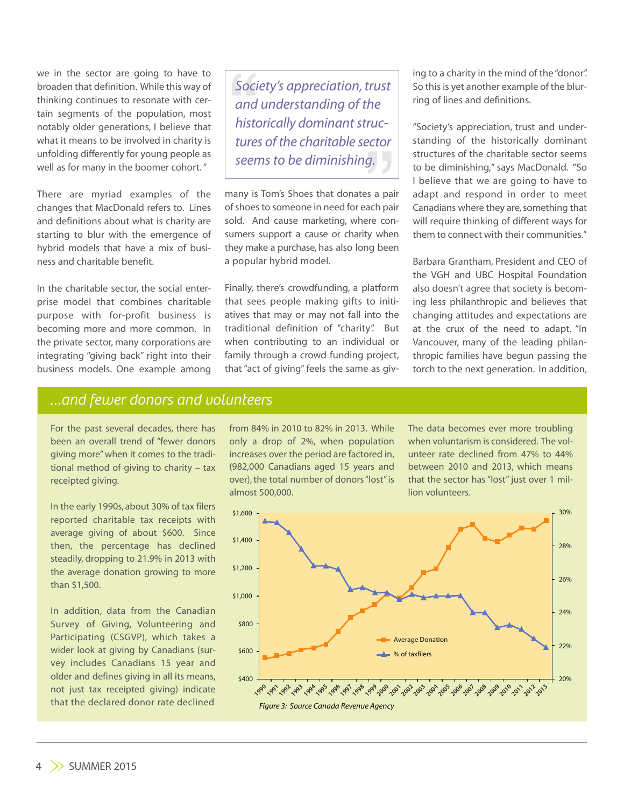we in the sector are going to have to broaden that definition. While this way of thinking continues to resonate with certain segments of the population, most notably older generations, I believe that what it means to be involved in charity is unfolding differently for young people as well as for many in the boomer cohort."

There are myriad examples of the changes that MacDonald refers to. Lines and definitions about what is charity are starting to blur with the emergence of hybrid models that have a mix of business and charitable benefit.

In the charitable sector, the social enterprise model that combines charitable purpose with for-profit business is becoming more and more common. In the private sector, many corporations are integrating "giving back" right into their business models. One example among Soci<br>and<br>histo<br>ture. ruc-<br>ector<br>J. **Society's appreciation, trust** *and understanding of the historically dominantstructures of the charitable sector seems to be diminishing.*

many is Tom's Shoes that donates a pair of shoes to someone in need for each pair sold. And cause marketing, where consumers support a cause or charity when they make a purchase, has also long been a popular hybrid model.

Finally, there's crowdfunding, a platform that sees people making gifts to initiatives that may or may not fall into the traditional definition of "charity". But when contributing to an individual or family through a crowd funding project, that "act of giving" feels the same as giving to a charity in the mind of the "donor". So this is yet another example of the blurring of lines and definitions.

"Society's appreciation, trust and understanding of the historically dominant structures of the charitable sector seems to be diminishing," says MacDonald. "So I believe that we are going to have to adapt and respond in order to meet Canadians where they are, something that will require thinking of different ways for them to connect with their communities."

Barbara Grantham, President and CEO of the VGH and UBC Hospital Foundation also doesn't agree that society is becoming less philanthropic and believes that changing attitudes and expectations are at the crux of the need to adapt. "In Vancouver, many of the leading philanthropic families have begun passing the torch to the next generation. In addition,

# *…and fewer donors and volunteers*

For the past several decades, there has been an overall trend of "fewer donors giving more"when it comes to the traditional method of giving to charity – tax receipted giving.

In the early 1990s, about 30% of tax filers reported charitable tax receipts with average giving of about \$600. Since then, the percentage has declined steadily, dropping to 21.9% in 2013 with the average donation growing to more than \$1,500.

In addition, data from the Canadian Survey of Giving, Volunteering and Participating (CSGVP), which takes a wider look at giving by Canadians (survey includes Canadians 15 year and older and defines giving in all its means, not just tax receipted giving) indicate that the declared donor rate declined

from 84% in 2010 to 82% in 2013. While only a drop of 2%, when population increases over the period are factored in, (982,000 Canadians aged 15 years and over), the total number of donors "lost" is almost 500,000.

The data becomes ever more troubling when voluntarism is considered. The volunteer rate declined from 47% to 44% between 2010 and 2013, which means that the sector has"lost" just over 1 million volunteers.

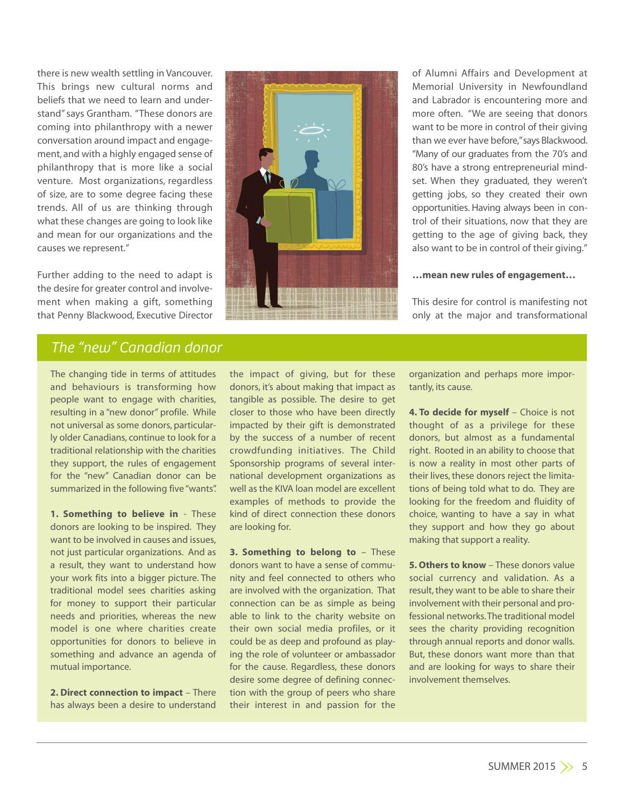there is new wealth settling in Vancouver. This brings new cultural norms and beliefs that we need to learn and understand" says Grantham. "These donors are coming into philanthropy with a newer conversation around impact and engagement, and with a highly engaged sense of philanthropy that is more like a social venture. Most organizations, regardless of size, are to some degree facing these trends. All of us are thinking through what these changes are going to look like and mean for our organizations and the causes we represent."

Further adding to the need to adapt is the desire for greater control and involvement when making a gift, something that Penny Blackwood, Executive Director



of Alumni Affairs and Development at Memorial University in Newfoundland and Labrador is encountering more and more often. "We are seeing that donors want to be more in control of their giving than we ever have before," says Blackwood. "Many of our graduates from the 70's and 80's have a strong entrepreneurial mindset. When they graduated, they weren't getting jobs, so they created their own opportunities. Having always been in control of their situations, now that they are getting to the age of giving back, they also want to be in control of their giving."

### **…mean new rules of engagement…**

This desire for control is manifesting not only at the major and transformational

# *The "new" Canadian donor*

The changing tide in terms of attitudes and behaviours is transforming how people want to engage with charities, resulting in a "new donor" profile. While not universal as some donors, particularly older Canadians, continue to look for a traditional relationship with the charities they support, the rules of engagement for the "new" Canadian donor can be summarized in the following five "wants".

**1. Something to believe in** - These donors are looking to be inspired. They want to be involved in causes and issues, not just particular organizations. And as a result, they want to understand how your work fits into a bigger picture. The traditional model sees charities asking for money to support their particular needs and priorities, whereas the new model is one where charities create opportunities for donors to believe in something and advance an agenda of mutual importance.

**2. Direct connection to impact** – There has always been a desire to understand the impact of giving, but for these donors, it's about making that impact as tangible as possible. The desire to get closer to those who have been directly impacted by their gift is demonstrated by the success of a number of recent crowdfunding initiatives. The Child Sponsorship programs of several international development organizations as well as the KIVA loan model are excellent examples of methods to provide the kind of direct connection these donors are looking for.

**3. Something to belong to** – These donors want to have a sense of community and feel connected to others who are involved with the organization. That connection can be as simple as being able to link to the charity website on their own social media profiles, or it could be as deep and profound as playing the role of volunteer or ambassador for the cause. Regardless, these donors desire some degree of defining connection with the group of peers who share their interest in and passion for the

organization and perhaps more importantly, its cause.

**4. To decide for myself** – Choice is not thought of as a privilege for these donors, but almost as a fundamental right. Rooted in an ability to choose that is now a reality in most other parts of their lives, these donors reject the limitations of being told what to do. They are looking for the freedom and fluidity of choice, wanting to have a say in what they support and how they go about making that support a reality.

**5. Others to know** – These donors value social currency and validation. As a result, they want to be able to share their involvement with their personal and professional networks.The traditional model sees the charity providing recognition through annual reports and donor walls. But, these donors want more than that and are looking for ways to share their involvement themselves.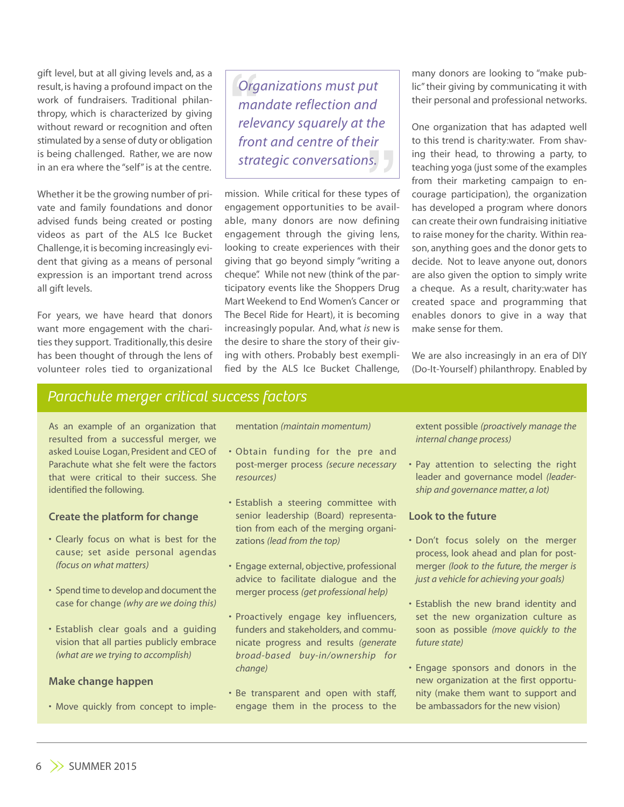gift level, but at all giving levels and, as a result, is having a profound impact on the work of fundraisers. Traditional philanthropy, which is characterized by giving without reward or recognition and often stimulated by a sense of duty or obligation is being challenged. Rather, we are now in an era where the "self"is at the centre.

Whether it be the growing number of private and family foundations and donor advised funds being created or posting videos as part of the ALS Ice Bucket Challenge, it is becoming increasingly evident that giving as a means of personal expression is an important trend across all gift levels.

For years, we have heard that donors want more engagement with the charities they support. Traditionally, this desire has been thought of through the lens of volunteer roles tied to organizational Org<br>ma<br>rele<br>fror relevancy squarely at the<br>front and centre of their<br>strategic conversations. *Organizations must put mandate reflection and front and centre of their strategic conversations.*

mission. While critical for these types of engagement opportunities to be available, many donors are now defining engagement through the giving lens, looking to create experiences with their giving that go beyond simply "writing a cheque". While not new (think of the participatory events like the Shoppers Drug Mart Weekend to End Women's Cancer or The Becel Ride for Heart), it is becoming increasingly popular. And, what *is* new is the desire to share the story of their giving with others. Probably best exemplified by the ALS Ice Bucket Challenge, many donors are looking to "make public"their giving by communicating it with their personal and professional networks.

One organization that has adapted well to this trend is charity:water. From shaving their head, to throwing a party, to teaching yoga (just some of the examples from their marketing campaign to encourage participation), the organization has developed a program where donors can create their own fundraising initiative to raise money for the charity. Within reason, anything goes and the donor gets to decide. Not to leave anyone out, donors are also given the option to simply write a cheque. As a result, charity:water has created space and programming that enables donors to give in a way that make sense for them.

We are also increasingly in an era of DIY (Do-It-Yourself) philanthropy. Enabled by

# *Parachute merger critical success factors*

As an example of an organization that resulted from a successful merger, we asked Louise Logan, President and CEO of Parachute what she felt were the factors that were critical to their success. She identified the following.

### **Create the platform for change**

- Clearly focus on what is best for the cause; set aside personal agendas *(focus on what matters)*
- Spend time to develop and document the case for change *(why are we doing this)*
- Establish clear goals and a guiding vision that all parties publicly embrace *(what are we trying to accomplish)*

### **Make change happen**

• Move quickly from concept to imple-

mentation *(maintain momentum)*

- Obtain funding for the pre and post-merger process *(secure necessary resources)*
- Establish a steering committee with senior leadership (Board) representation from each of the merging organizations *(lead from the top)*
- Engage external, objective, professional advice to facilitate dialogue and the merger process *(get professional help)*
- Proactively engage key influencers, funders and stakeholders, and communicate progress and results *(generate broad-based buy-in/ownership for change)*
- Be transparent and open with staff, engage them in the process to the

extent possible *(proactively manage the internal change process)*

• Pay attention to selecting the right leader and governance model *(leadership and governance matter, a lot)*

### **Look to the future**

- Don't focus solely on the merger process, look ahead and plan for postmerger *(look to the future, the merger is just a vehicle for achieving your goals)*
- Establish the new brand identity and set the new organization culture as soon as possible *(move quickly to the future state)*
- Engage sponsors and donors in the new organization at the first opportunity (make them want to support and be ambassadors for the new vision)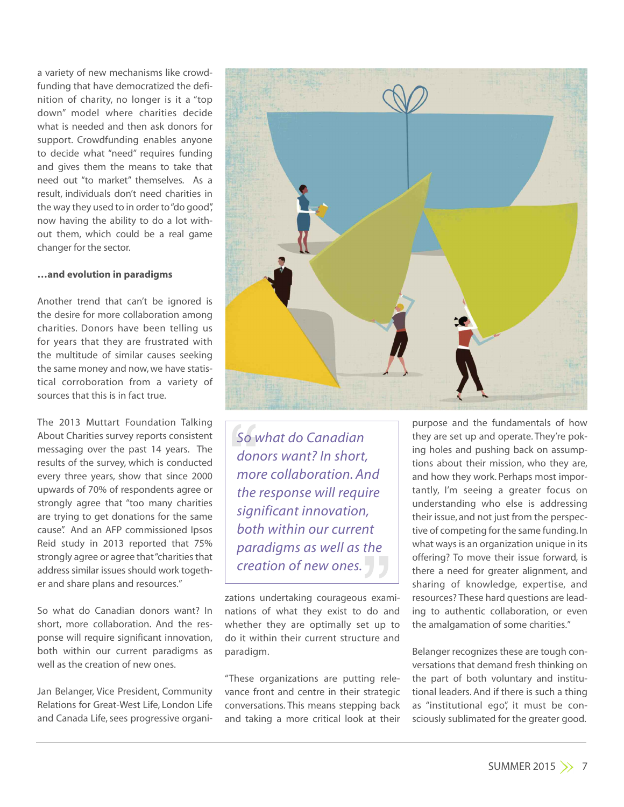a variety of new mechanisms like crowdfunding that have democratized the definition of charity, no longer is it a "top down" model where charities decide what is needed and then ask donors for support. Crowdfunding enables anyone to decide what "need" requires funding and gives them the means to take that need out "to market" themselves. As a result, individuals don't need charities in the way they used to in order to"do good", now having the ability to do a lot without them, which could be a real game changer for the sector.

### **…and evolution in paradigms**

Another trend that can't be ignored is the desire for more collaboration among charities. Donors have been telling us for years that they are frustrated with the multitude of similar causes seeking the same money and now,we have statistical corroboration from a variety of sources that this is in fact true.

The 2013 Muttart Foundation Talking About Charities survey reports consistent messaging over the past 14 years. The results of the survey, which is conducted every three years, show that since 2000 upwards of 70% of respondents agree or strongly agree that "too many charities are trying to get donations for the same cause". And an AFP commissioned Ipsos Reid study in 2013 reported that 75% strongly agree or agree that "charities that address similar issues should work together and share plans and resources."

So what do Canadian donors want? In short, more collaboration. And the response will require significant innovation, both within our current paradigms as well as the creation of new ones.

Jan Belanger, Vice President, Community Relations for Great-West Life, London Life and Canada Life, sees progressive organi-



 $\frac{50 \text{ V}}{400 \text{ mol}}$ '<br>nt<br>J J *So what do Canadian donors want? In short, more collaboration. And the response will require significant innovation, both within our current paradigms as well as the creation of new ones.*

zations undertaking courageous examinations of what they exist to do and whether they are optimally set up to do it within their current structure and paradigm.

"These organizations are putting relevance front and centre in their strategic conversations. This means stepping back and taking a more critical look at their

purpose and the fundamentals of how they are set up and operate. They're poking holes and pushing back on assumptions about their mission, who they are, and how they work. Perhaps most importantly, I'm seeing a greater focus on understanding who else is addressing their issue, and not just from the perspective of competing for the same funding.In what ways is an organization unique in its offering? To move their issue forward, is there a need for greater alignment, and sharing of knowledge, expertise, and resources? These hard questions are leading to authentic collaboration, or even the amalgamation of some charities."

Belanger recognizes these are tough conversations that demand fresh thinking on the part of both voluntary and institutional leaders. And if there is such a thing as "institutional ego", it must be consciously sublimated for the greater good.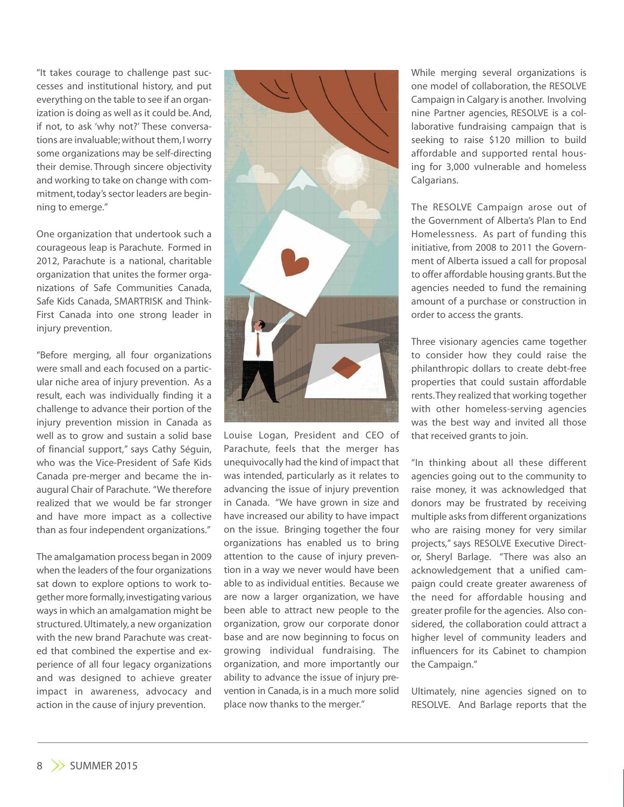"It takes courage to challenge past successes and institutional history, and put everything on the table to see if an organization is doing as well as it could be.And, if not, to ask 'why not?' These conversations are invaluable;without them,I worry some organizations may be self-directing their demise. Through sincere objectivity and working to take on change with commitment, today's sector leaders are beginning to emerge."

One organization that undertook such a courageous leap is Parachute. Formed in 2012, Parachute is a national, charitable organization that unites the former organizations of Safe Communities Canada, Safe Kids Canada, SMARTRISK and Think-First Canada into one strong leader in injury prevention.

"Before merging, all four organizations were small and each focused on a particular niche area of injury prevention. As a result, each was individually finding it a challenge to advance their portion of the injury prevention mission in Canada as well as to grow and sustain a solid base of financial support," says Cathy Séguin, who was the Vice-President of Safe Kids Canada pre-merger and became the inaugural Chair of Parachute. "We therefore realized that we would be far stronger and have more impact as a collective than as four independent organizations."

The amalgamation process began in 2009 when the leaders of the four organizations sat down to explore options to work together more formally,investigating various ways in which an amalgamation might be structured.Ultimately, a new organization with the new brand Parachute was created that combined the expertise and experience of all four legacy organizations and was designed to achieve greater impact in awareness, advocacy and action in the cause of injury prevention.



Louise Logan, President and CEO of Parachute, feels that the merger has unequivocally had the kind of impact that was intended, particularly as it relates to advancing the issue of injury prevention in Canada. "We have grown in size and have increased our ability to have impact on the issue. Bringing together the four organizations has enabled us to bring attention to the cause of injury prevention in a way we never would have been able to as individual entities. Because we are now a larger organization, we have been able to attract new people to the organization, grow our corporate donor base and are now beginning to focus on growing individual fundraising. The organization, and more importantly our ability to advance the issue of injury prevention in Canada, is in a much more solid place now thanks to the merger."

While merging several organizations is one model of collaboration, the RESOLVE Campaign in Calgary is another. Involving nine Partner agencies, RESOLVE is a collaborative fundraising campaign that is seeking to raise \$120 million to build affordable and supported rental housing for 3,000 vulnerable and homeless Calgarians.

The RESOLVE Campaign arose out of the Government of Alberta's Plan to End Homelessness. As part of funding this initiative, from 2008 to 2011 the Government of Alberta issued a call for proposal to offer affordable housing grants.But the agencies needed to fund the remaining amount of a purchase or construction in order to access the grants.

Three visionary agencies came together to consider how they could raise the philanthropic dollars to create debt-free properties that could sustain affordable rents.They realized that working together with other homeless-serving agencies was the best way and invited all those that received grants to join.

"In thinking about all these different agencies going out to the community to raise money, it was acknowledged that donors may be frustrated by receiving multiple asks from different organizations who are raising money for very similar projects," says RESOLVE Executive Director, Sheryl Barlage. "There was also an acknowledgement that a unified campaign could create greater awareness of the need for affordable housing and greater profile for the agencies. Also considered, the collaboration could attract a higher level of community leaders and influencers for its Cabinet to champion the Campaign."

Ultimately, nine agencies signed on to RESOLVE. And Barlage reports that the